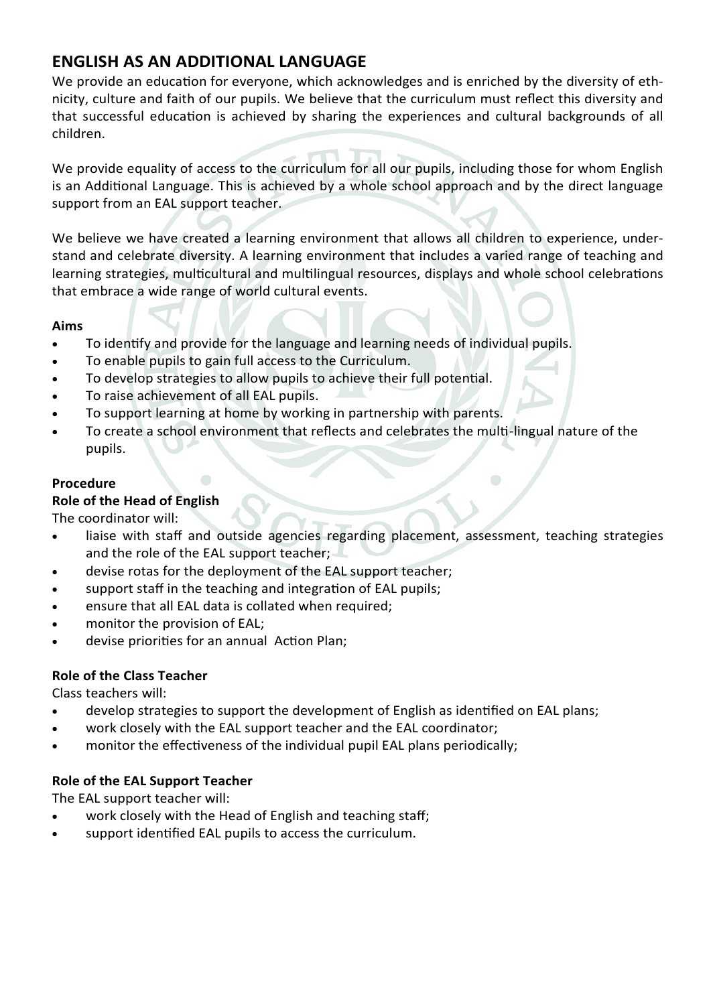# **ENGLISH AS AN ADDITIONAL LANGUAGE**

We provide an education for everyone, which acknowledges and is enriched by the diversity of ethnicity, culture and faith of our pupils. We believe that the curriculum must reflect this diversity and that successful education is achieved by sharing the experiences and cultural backgrounds of all children.

We provide equality of access to the curriculum for all our pupils, including those for whom English is an Additional Language. This is achieved by a whole school approach and by the direct language support from an EAL support teacher.

We believe we have created a learning environment that allows all children to experience, understand and celebrate diversity. A learning environment that includes a varied range of teaching and learning strategies, multicultural and multilingual resources, displays and whole school celebrations that embrace a wide range of world cultural events.

## **Aims**

- To identify and provide for the language and learning needs of individual pupils.
- To enable pupils to gain full access to the Curriculum.
- To develop strategies to allow pupils to achieve their full potential.
- To raise achievement of all EAL pupils.
- To support learning at home by working in partnership with parents.
- To create a school environment that reflects and celebrates the multi-lingual nature of the pupils.

## **Procedure**

## **Role of the Head of English**

The coordinator will:

- liaise with staff and outside agencies regarding placement, assessment, teaching strategies and the role of the EAL support teacher;
- devise rotas for the deployment of the EAL support teacher;
- support staff in the teaching and integration of EAL pupils;
- ensure that all EAL data is collated when required;
- monitor the provision of EAL;
- devise priorities for an annual Action Plan;

## **Role of the Class Teacher**

Class teachers will:

- develop strategies to support the development of English as identified on EAL plans;
- work closely with the EAL support teacher and the EAL coordinator;
- monitor the effectiveness of the individual pupil EAL plans periodically;

## **Role of the EAL Support Teacher**

The EAL support teacher will:

- work closely with the Head of English and teaching staff;
- support identified EAL pupils to access the curriculum.